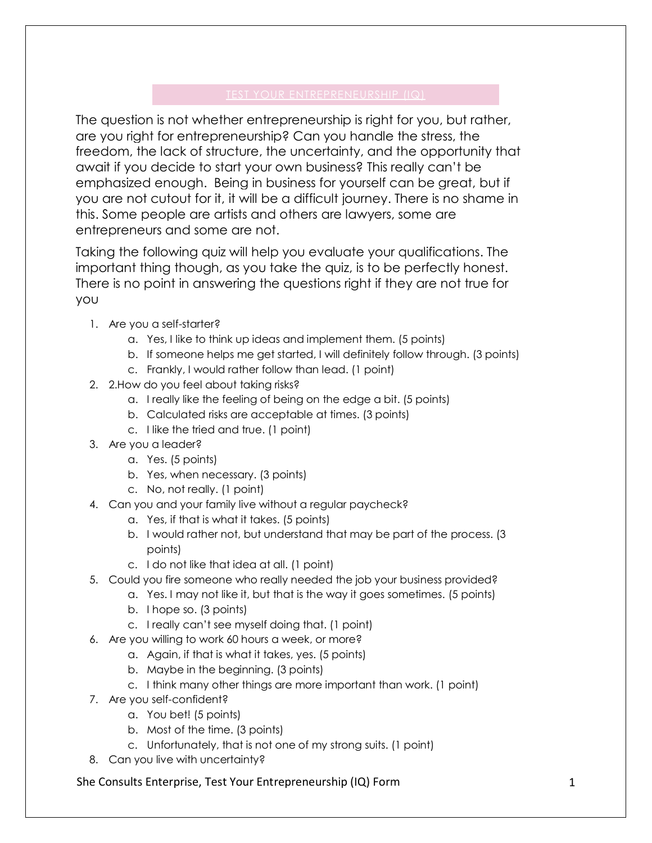The question is not whether entrepreneurship is right for you, but rather, are you right for entrepreneurship? Can you handle the stress, the freedom, the lack of structure, the uncertainty, and the opportunity that await if you decide to start your own business? This really can't be emphasized enough. Being in business for yourself can be great, but if you are not cutout for it, it will be a difficult journey. There is no shame in this. Some people are artists and others are lawyers, some are entrepreneurs and some are not.

Taking the following quiz will help you evaluate your qualifications. The important thing though, as you take the quiz, is to be perfectly honest. There is no point in answering the questions right if they are not true for you

- 1. Are you a self-starter?
	- a. Yes, I like to think up ideas and implement them. (5 points)
	- b. If someone helps me get started, I will definitely follow through. (3 points)
	- c. Frankly, I would rather follow than lead. (1 point)
- 2. 2.How do you feel about taking risks?
	- a. I really like the feeling of being on the edge a bit. (5 points)
	- b. Calculated risks are acceptable at times. (3 points)
	- c. I like the tried and true. (1 point)
- 3. Are you a leader?
	- a. Yes. (5 points)
	- b. Yes, when necessary. (3 points)
	- c. No, not really. (1 point)
- 4. Can you and your family live without a regular paycheck?
	- a. Yes, if that is what it takes. (5 points)
	- b. I would rather not, but understand that may be part of the process. (3 points)
	- c. I do not like that idea at all. (1 point)
- 5. Could you fire someone who really needed the job your business provided?
	- a. Yes. I may not like it, but that is the way it goes sometimes. (5 points)
	- b. I hope so. (3 points)
	- c. I really can't see myself doing that. (1 point)
- 6. Are you willing to work 60 hours a week, or more?
	- a. Again, if that is what it takes, yes. (5 points)
	- b. Maybe in the beginning. (3 points)
	- c. I think many other things are more important than work. (1 point)
- 7. Are you self-confident?
	- a. You bet! (5 points)
	- b. Most of the time. (3 points)
	- c. Unfortunately, that is not one of my strong suits. (1 point)
- 8. Can you live with uncertainty?

She Consults Enterprise, Test Your Entrepreneurship (IQ) Form 1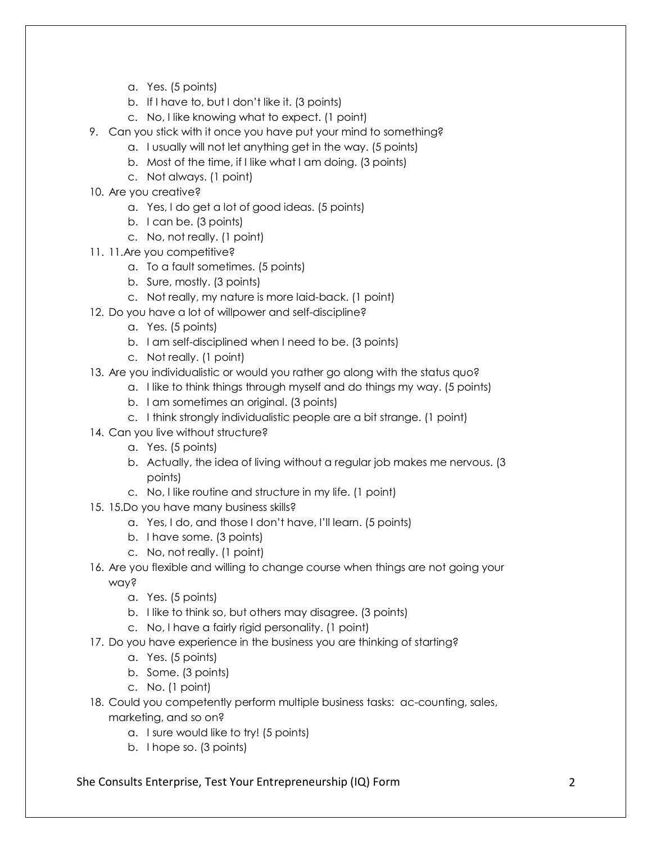- a. Yes. (5 points)
- b. If I have to, but I don't like it. (3 points)
- c. No, I like knowing what to expect. (1 point)
- 9. Can you stick with it once you have put your mind to something?
	- a. I usually will not let anything get in the way. (5 points)
	- b. Most of the time, if I like what I am doing. (3 points)
	- c. Not always. (1 point)
- 10. Are you creative?
	- a. Yes, I do get a lot of good ideas. (5 points)
	- b. I can be. (3 points)
	- c. No, not really. (1 point)
- 11. 11.Are you competitive?
	- a. To a fault sometimes. (5 points)
	- b. Sure, mostly. (3 points)
	- c. Not really, my nature is more laid-back. (1 point)
- 12. Do you have a lot of willpower and self-discipline?
	- a. Yes. (5 points)
	- b. I am self-disciplined when I need to be. (3 points)
	- c. Not really. (1 point)
- 13. Are you individualistic or would you rather go along with the status quo?
	- a. I like to think things through myself and do things my way. (5 points)
	- b. I am sometimes an original. (3 points)
	- c. I think strongly individualistic people are a bit strange. (1 point)
- 14. Can you live without structure?
	- a. Yes. (5 points)
	- b. Actually, the idea of living without a regular job makes me nervous. (3 points)
	- c. No, I like routine and structure in my life. (1 point)
- 15. 15.Do you have many business skills?
	- a. Yes, I do, and those I don't have, I'll learn. (5 points)
	- b. I have some. (3 points)
	- c. No, not really. (1 point)
- 16. Are you flexible and willing to change course when things are not going your way?
	- a. Yes. (5 points)
	- b. I like to think so, but others may disagree. (3 points)
	- c. No, I have a fairly rigid personality. (1 point)
- 17. Do you have experience in the business you are thinking of starting?
	- a. Yes. (5 points)
	- b. Some. (3 points)
	- c. No. (1 point)
- 18. Could you competently perform multiple business tasks: ac-counting, sales, marketing, and so on?
	- a. I sure would like to try! (5 points)
	- b. I hope so. (3 points)

## She Consults Enterprise, Test Your Entrepreneurship (IQ) Form 2